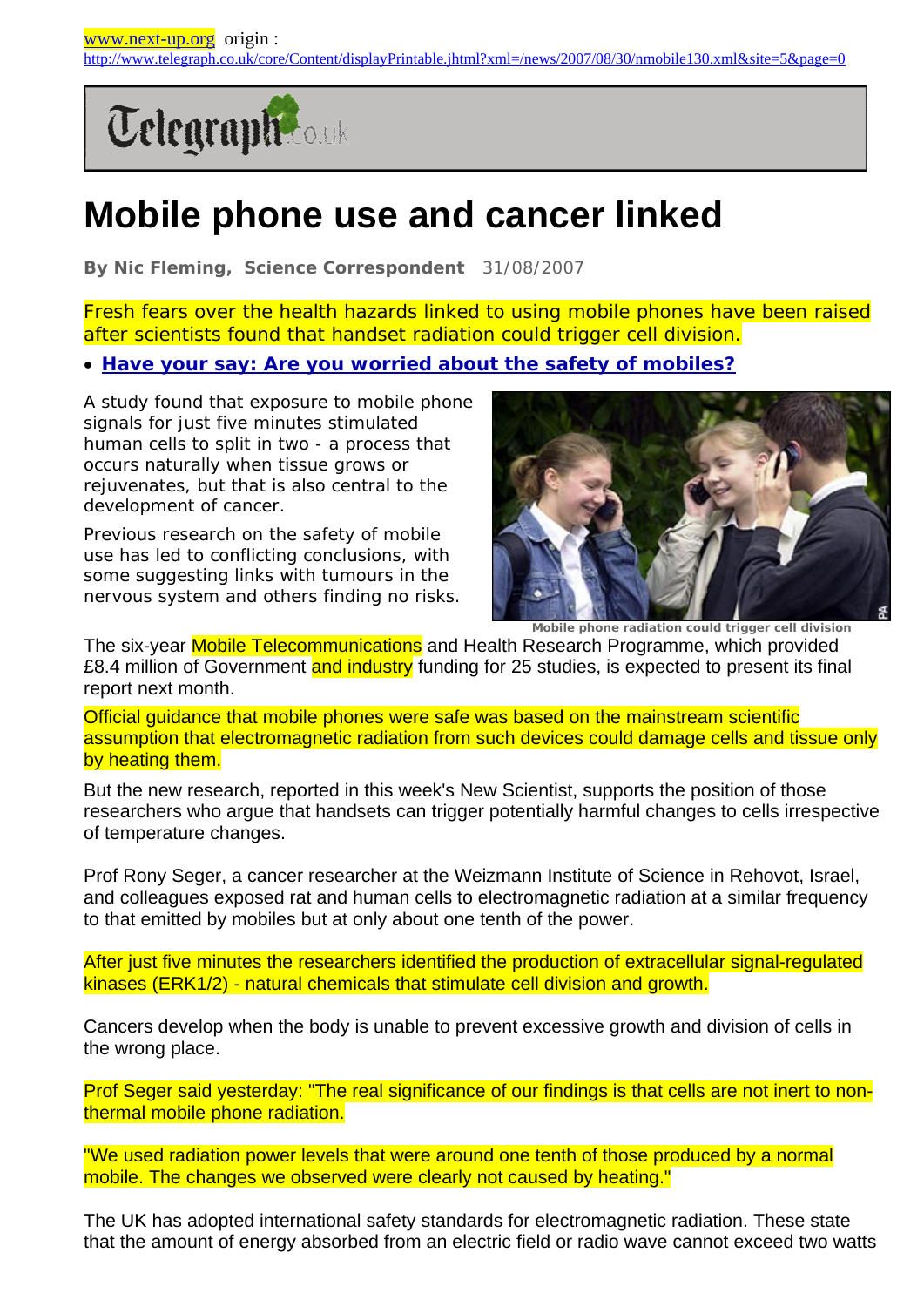[www.next-up.org](http://www.next-up.org/) origin : <http://www.telegraph.co.uk/core/Content/displayPrintable.jhtml?xml=/news/2007/08/30/nmobile130.xml&site=5&page=0>



## **Mobile phone use and cancer linked**

**By Nic Fleming, Science Correspondent** 31/08/2007

Fresh fears over the health hazards linked to using mobile phones have been raised after scientists found that handset radiation could trigger cell division.

• **[Have your say: Are you worried about the safety of mobiles?](http://www.telegraph.co.uk/core/Content/displayPrintable.jhtml?xml=/news/2007/08/30/nmobile130.xml&site=5&page=0#form#form)**

A study found that exposure to mobile phone signals for just five minutes stimulated human cells to split in two - a process that occurs naturally when tissue grows or rejuvenates, but that is also central to the development of cancer.

Previous research on the safety of mobile use has led to conflicting conclusions, with some suggesting links with tumours in the nervous system and others finding no risks.



**Mobile phone radiation could trigger cell division**

The six-year Mobile Telecommunications and Health Research Programme, which provided £8.4 million of Government and industry funding for 25 studies, is expected to present its final report next month.

Official guidance that mobile phones were safe was based on the mainstream scientific assumption that electromagnetic radiation from such devices could damage cells and tissue only by heating them.

But the new research, reported in this week's New Scientist, supports the position of those researchers who argue that handsets can trigger potentially harmful changes to cells irrespective of temperature changes.

Prof Rony Seger, a cancer researcher at the Weizmann Institute of Science in Rehovot, Israel, and colleagues exposed rat and human cells to electromagnetic radiation at a similar frequency to that emitted by mobiles but at only about one tenth of the power.

After just five minutes the researchers identified the production of extracellular signal-regulated kinases (ERK1/2) - natural chemicals that stimulate cell division and growth.

Cancers develop when the body is unable to prevent excessive growth and division of cells in the wrong place.

Prof Seger said yesterday: "The real significance of our findings is that cells are not inert to nonthermal mobile phone radiation.

"We used radiation power levels that were around one tenth of those produced by a normal mobile. The changes we observed were clearly not caused by heating."

The UK has adopted international safety standards for electromagnetic radiation. These state that the amount of energy absorbed from an electric field or radio wave cannot exceed two watts